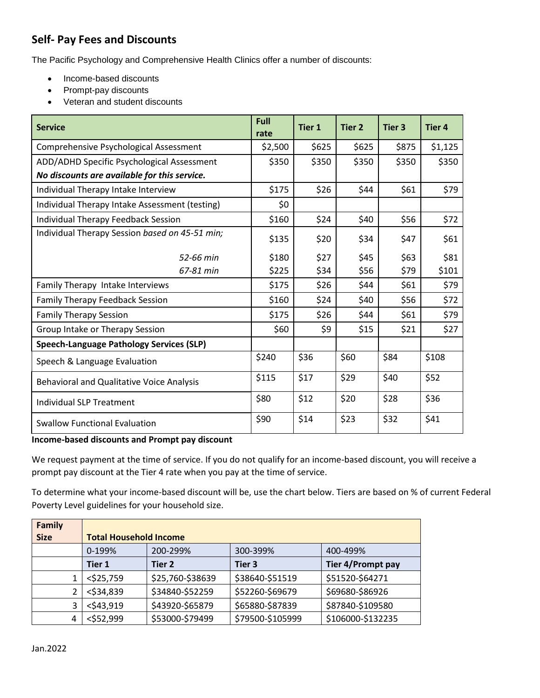## **Self- Pay Fees and Discounts**

The Pacific Psychology and Comprehensive Health Clinics offer a number of discounts:

- Income-based discounts
- Prompt-pay discounts
- Veteran and student discounts

| <b>Service</b>                                   | Full<br>rate | <b>Tier 1</b> | <b>Tier 2</b> | Tier <sub>3</sub> | <b>Tier 4</b> |
|--------------------------------------------------|--------------|---------------|---------------|-------------------|---------------|
| Comprehensive Psychological Assessment           | \$2,500      | \$625         | \$625         | \$875             | \$1,125       |
| ADD/ADHD Specific Psychological Assessment       | \$350        | \$350         | \$350         | \$350             | \$350         |
| No discounts are available for this service.     |              |               |               |                   |               |
| Individual Therapy Intake Interview              | \$175        | \$26          | \$44          | \$61              | \$79          |
| Individual Therapy Intake Assessment (testing)   | \$0          |               |               |                   |               |
| Individual Therapy Feedback Session              | \$160        | \$24          | \$40          | \$56              | \$72          |
| Individual Therapy Session based on 45-51 min;   | \$135        | \$20          | \$34          | \$47              | \$61          |
| 52-66 min                                        | \$180        | \$27          | \$45          | \$63              | \$81          |
| 67-81 min                                        | \$225        | \$34          | \$56          | \$79              | \$101         |
| Family Therapy Intake Interviews                 | \$175        | \$26          | \$44          | \$61              | \$79          |
| Family Therapy Feedback Session                  | \$160        | \$24          | \$40          | \$56              | \$72          |
| <b>Family Therapy Session</b>                    | \$175        | \$26          | \$44          | \$61              | \$79          |
| Group Intake or Therapy Session                  | \$60         | \$9           | \$15          | \$21              | \$27          |
| Speech-Language Pathology Services (SLP)         |              |               |               |                   |               |
| Speech & Language Evaluation                     | \$240        | \$36          | \$60          | \$84              | \$108         |
| <b>Behavioral and Qualitative Voice Analysis</b> | \$115        | \$17          | \$29          | \$40              | \$52          |
| <b>Individual SLP Treatment</b>                  | \$80         | \$12          | \$20          | \$28              | \$36          |
| <b>Swallow Functional Evaluation</b>             | \$90         | \$14          | \$23          | \$32              | \$41          |

## **Income-based discounts and Prompt pay discount**

We request payment at the time of service. If you do not qualify for an income-based discount, you will receive a prompt pay discount at the Tier 4 rate when you pay at the time of service.

To determine what your income-based discount will be, use the chart below. Tiers are based on % of current Federal Poverty Level guidelines for your household size.

| <b>Family</b> |                               |                  |                  |                   |  |  |  |
|---------------|-------------------------------|------------------|------------------|-------------------|--|--|--|
| <b>Size</b>   | <b>Total Household Income</b> |                  |                  |                   |  |  |  |
|               | 0-199%                        | 200-299%         | 300-399%         | 400-499%          |  |  |  |
|               | <b>Tier 1</b>                 | Tier 2           | Tier 3           | Tier 4/Prompt pay |  |  |  |
| 1             | $<$ \$25,759                  | \$25,760-\$38639 | \$38640-\$51519  | \$51520-\$64271   |  |  |  |
| 2             | $<$ \$34,839                  | \$34840-\$52259  | \$52260-\$69679  | \$69680-\$86926   |  |  |  |
| 3             | $<$ \$43,919                  | \$43920-\$65879  | \$65880-\$87839  | \$87840-\$109580  |  |  |  |
| 4             | <\$52,999                     | \$53000-\$79499  | \$79500-\$105999 | \$106000-\$132235 |  |  |  |